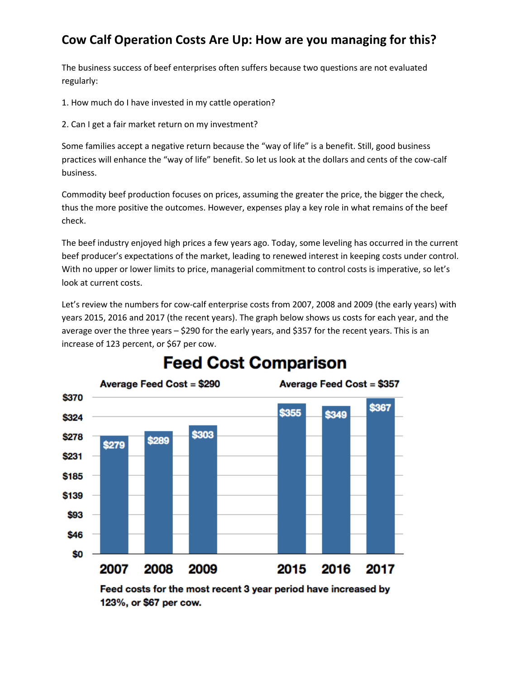### **Cow Calf Operation Costs Are Up: How are you managing for this?**

The business success of beef enterprises often suffers because two questions are not evaluated regularly:

- 1. How much do I have invested in my cattle operation?
- 2. Can I get a fair market return on my investment?

Some families accept a negative return because the "way of life" is a benefit. Still, good business practices will enhance the "way of life" benefit. So let us look at the dollars and cents of the cow-calf business.

Commodity beef production focuses on prices, assuming the greater the price, the bigger the check, thus the more positive the outcomes. However, expenses play a key role in what remains of the beef check.

The beef industry enjoyed high prices a few years ago. Today, some leveling has occurred in the current beef producer's expectations of the market, leading to renewed interest in keeping costs under control. With no upper or lower limits to price, managerial commitment to control costs is imperative, so let's look at current costs.

Let's review the numbers for cow-calf enterprise costs from 2007, 2008 and 2009 (the early years) with years 2015, 2016 and 2017 (the recent years). The graph below shows us costs for each year, and the average over the three years – \$290 for the early years, and \$357 for the recent years. This is an increase of 123 percent, or \$67 per cow.



# **Feed Cost Comparison**

Feed costs for the most recent 3 year period have increased by 123%, or \$67 per cow.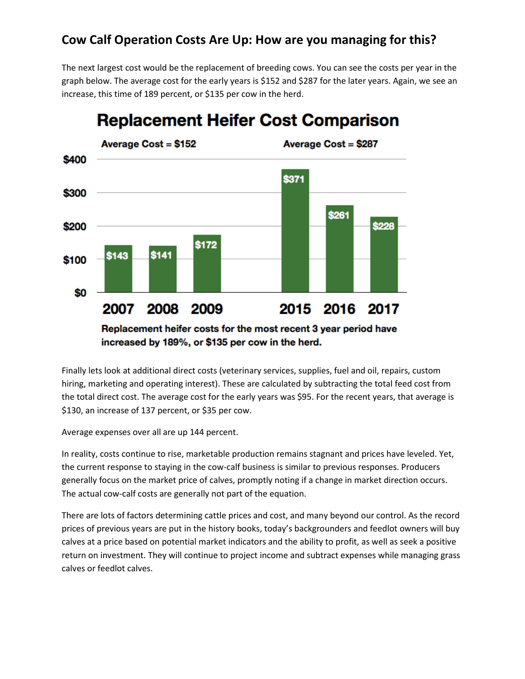#### **Cow Calf Operation Costs Are Up: How are you managing for this?**

The next largest cost would be the replacement of breeding cows. You can see the costs per year in the graph below. The average cost for the early years is \$152 and \$287 for the later years. Again, we see an increase, this time of 189 percent, or \$135 per cow in the herd.



## **Replacement Heifer Cost Comparison**

Replacement heifer costs for the most recent 3 year period have increased by 189%, or \$135 per cow in the herd.

Finally lets look at additional direct costs (veterinary services, supplies, fuel and oil, repairs, custom hiring, marketing and operating interest). These are calculated by subtracting the total feed cost from the total direct cost. The average cost for the early years was \$95. For the recent years, that average is \$130, an increase of 137 percent, or \$35 per cow.

Average expenses over all are up 144 percent.

In reality, costs continue to rise, marketable production remains stagnant and prices have leveled. Yet, the current response to staying in the cow-calf business is similar to previous responses. Producers generally focus on the market price of calves, promptly noting if a change in market direction occurs. The actual cow-calf costs are generally not part of the equation.

There are lots of factors determining cattle prices and cost, and many beyond our control. As the record prices of previous years are put in the history books, today's backgrounders and feedlot owners will buy calves at a price based on potential market indicators and the ability to profit, as well as seek a positive return on investment. They will continue to project income and subtract expenses while managing grass calves or feedlot calves.